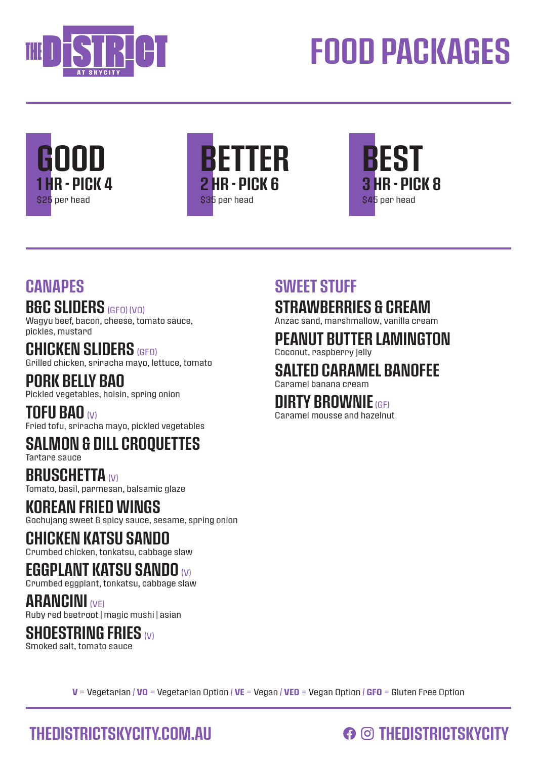

# FOOD PACKAGES







#### **CANAPES**

#### B&C SLIDERS (GFO) (VO)

Wagyu beef, bacon, cheese, tomato sauce, pickles, mustard

CHICKEN SLIDERS (GEO) Grilled chicken, sriracha mayo, lettuce, tomato

PORK BELLY BAO Pickled vegetables, hoisin, spring onion

TOFU BAO (V) Fried tofu, sriracha mayo, pickled vegetables

### SALMON & DILL CROQUETTES

Tartare sauce

BRUSCHETTA (V) Tomato, basil, parmesan, balsamic glaze

#### KOREAN FRIED WINGS

Gochujang sweet & spicy sauce, sesame, spring onion

#### CHICKEN KATSU SANDO

Crumbed chicken, tonkatsu, cabbage slaw

#### EGGPLANT KATSU SANDO (V)

Crumbed eggplant, tonkatsu, cabbage slaw

**ARANCINI (VE)** Ruby red beetroot | magic mushi | asian

#### **SHOESTRING FRIES (V)**

Smoked salt, tomato sauce

#### SWEET STUFF STRAWBERRIES & CREAM

Anzac sand, marshmallow, vanilla cream

### PEANUT BUTTER LAMINGTON

Coconut, raspberry jelly

### SALTED CARAMEL BANOFEE

Caramel banana cream

#### DIRTY BROWNIE (GF)

Caramel mousse and hazelnut

 $V = V$ egetarian /  $V0 = V$ egetarian Option /  $V E = V$ egan /  $V E0 = V$ egan Option / GFO = Gluten Free Option

### THEDISTRICTSKYCITY.COM.AU **COMEDISTRICTSKYCITY**